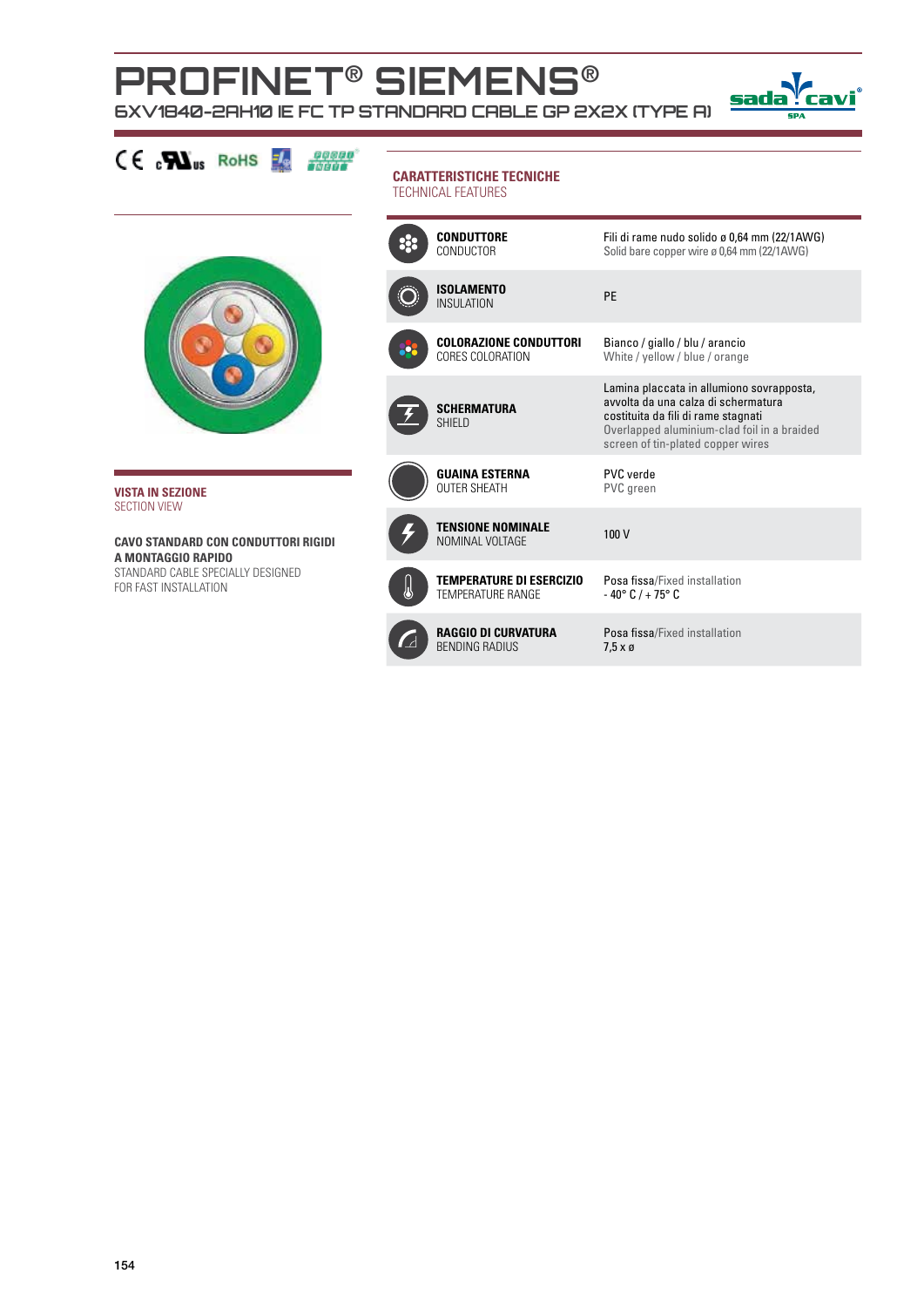## **PROFINET**® **siemens**® **6xV1840-2AH10 IE FC TP Standard Cable GP 2x2x (type A)**



| $CE$ $N_{us}$ RoHS                                               | <b>CARATTERISTICHE TECNICHE</b><br><b>TECHNICAL FEATURES</b> |                                                             |                                                                                                                                                                                                             |  |
|------------------------------------------------------------------|--------------------------------------------------------------|-------------------------------------------------------------|-------------------------------------------------------------------------------------------------------------------------------------------------------------------------------------------------------------|--|
|                                                                  |                                                              | <b>CONDUTTORE</b><br>CONDUCTOR                              | Fili di rame nudo solido ø 0,64 mm (22/1AWG)<br>Solid bare copper wire ø 0,64 mm (22/1AWG)                                                                                                                  |  |
|                                                                  |                                                              | <b>ISOLAMENTO</b><br><b>INSULATION</b>                      | PE                                                                                                                                                                                                          |  |
|                                                                  |                                                              | <b>COLORAZIONE CONDUTTORI</b><br>CORES COLORATION           | Bianco / giallo / blu / arancio<br>White / yellow / blue / orange                                                                                                                                           |  |
|                                                                  |                                                              | <b>SCHERMATURA</b><br><b>SHIELD</b>                         | Lamina placcata in allumiono sovrapposta,<br>avvolta da una calza di schermatura<br>costituita da fili di rame stagnati<br>Overlapped aluminium-clad foil in a braided<br>screen of tin-plated copper wires |  |
| <b>VISTA IN SEZIONE</b><br><b>SECTION VIEW</b>                   |                                                              | <b>GUAINA ESTERNA</b><br><b>OUTER SHEATH</b>                | PVC verde<br>PVC green                                                                                                                                                                                      |  |
| <b>CAVO STANDARD CON CONDUTTORI RIGIDI</b><br>A MONTAGGIO RAPIDO |                                                              | <b>TENSIONE NOMINALE</b><br>NOMINAL VOLTAGE                 | 100 V                                                                                                                                                                                                       |  |
| STANDARD CABLE SPECIALLY DESIGNED<br>FOR FAST INSTALLATION       |                                                              | <b>TEMPERATURE DI ESERCIZIO</b><br><b>TEMPERATURE RANGE</b> | Posa fissa/Fixed installation<br>$-40^{\circ}$ C / + 75 $^{\circ}$ C                                                                                                                                        |  |
|                                                                  |                                                              | <b>RAGGIO DI CURVATURA</b><br><b>BENDING RADIUS</b>         | Posa fissa/Fixed installation<br>$7.5 \times g$                                                                                                                                                             |  |